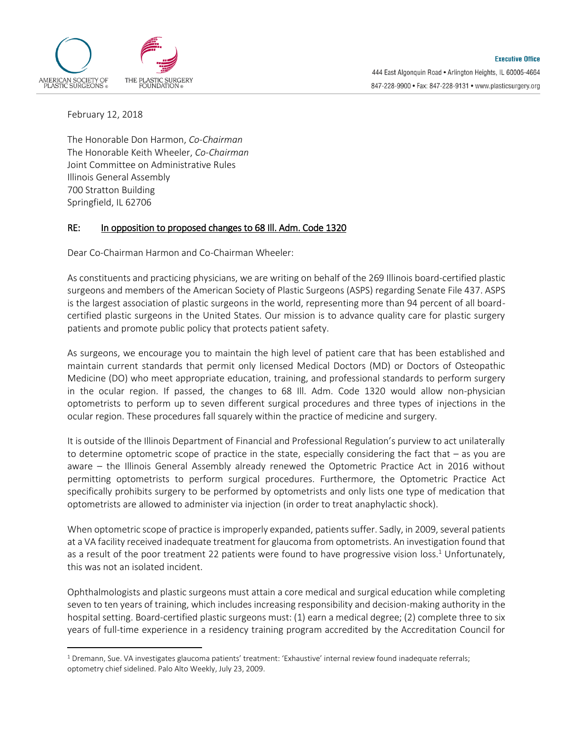

February 12, 2018

 $\overline{a}$ 

The Honorable Don Harmon, *Co-Chairman* The Honorable Keith Wheeler, *Co-Chairman* Joint Committee on Administrative Rules Illinois General Assembly 700 Stratton Building Springfield, IL 62706

## RE: In opposition to proposed changes to 68 Ill. Adm. Code 1320

Dear Co-Chairman Harmon and Co-Chairman Wheeler:

As constituents and practicing physicians, we are writing on behalf of the 269 Illinois board-certified plastic surgeons and members of the American Society of Plastic Surgeons (ASPS) regarding Senate File 437. ASPS is the largest association of plastic surgeons in the world, representing more than 94 percent of all boardcertified plastic surgeons in the United States. Our mission is to advance quality care for plastic surgery patients and promote public policy that protects patient safety.

As surgeons, we encourage you to maintain the high level of patient care that has been established and maintain current standards that permit only licensed Medical Doctors (MD) or Doctors of Osteopathic Medicine (DO) who meet appropriate education, training, and professional standards to perform surgery in the ocular region. If passed, the changes to 68 Ill. Adm. Code 1320 would allow non-physician optometrists to perform up to seven different surgical procedures and three types of injections in the ocular region. These procedures fall squarely within the practice of medicine and surgery.

It is outside of the Illinois Department of Financial and Professional Regulation's purview to act unilaterally to determine optometric scope of practice in the state, especially considering the fact that – as you are aware – the Illinois General Assembly already renewed the Optometric Practice Act in 2016 without permitting optometrists to perform surgical procedures. Furthermore, the Optometric Practice Act specifically prohibits surgery to be performed by optometrists and only lists one type of medication that optometrists are allowed to administer via injection (in order to treat anaphylactic shock).

When optometric scope of practice is improperly expanded, patients suffer. Sadly, in 2009, several patients at a VA facility received inadequate treatment for glaucoma from optometrists. An investigation found that as a result of the poor treatment 22 patients were found to have progressive vision loss.<sup>1</sup> Unfortunately, this was not an isolated incident.

Ophthalmologists and plastic surgeons must attain a core medical and surgical education while completing seven to ten years of training, which includes increasing responsibility and decision-making authority in the hospital setting. Board-certified plastic surgeons must: (1) earn a medical degree; (2) complete three to six years of full-time experience in a residency training program accredited by the Accreditation Council for

<sup>1</sup> Dremann, Sue. VA investigates glaucoma patients' treatment: 'Exhaustive' internal review found inadequate referrals; optometry chief sidelined. Palo Alto Weekly, July 23, 2009.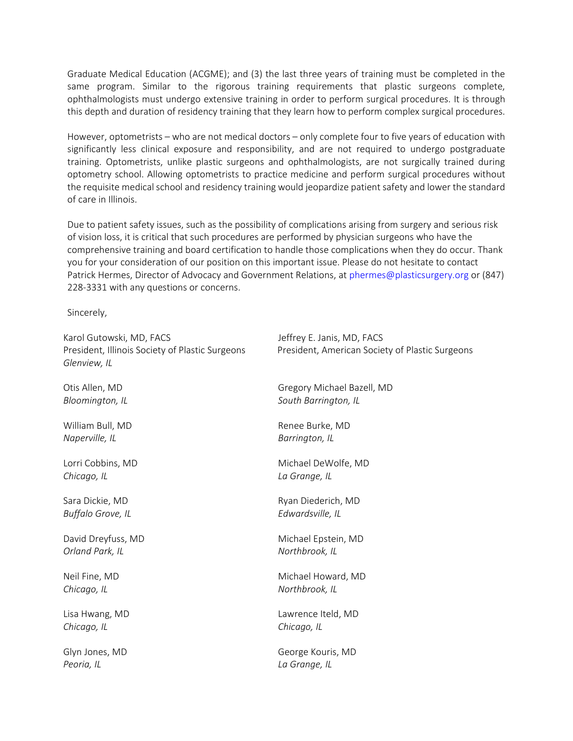Graduate Medical Education (ACGME); and (3) the last three years of training must be completed in the same program. Similar to the rigorous training requirements that plastic surgeons complete, ophthalmologists must undergo extensive training in order to perform surgical procedures. It is through this depth and duration of residency training that they learn how to perform complex surgical procedures.

However, optometrists – who are not medical doctors – only complete four to five years of education with significantly less clinical exposure and responsibility, and are not required to undergo postgraduate training. Optometrists, unlike plastic surgeons and ophthalmologists, are not surgically trained during optometry school. Allowing optometrists to practice medicine and perform surgical procedures without the requisite medical school and residency training would jeopardize patient safety and lower the standard of care in Illinois.

Due to patient safety issues, such as the possibility of complications arising from surgery and serious risk of vision loss, it is critical that such procedures are performed by physician surgeons who have the comprehensive training and board certification to handle those complications when they do occur. Thank you for your consideration of our position on this important issue. Please do not hesitate to contact Patrick Hermes, Director of Advocacy and Government Relations, at [phermes@plasticsurgery.org](mailto:phermes@plasticsurgery.org) or (847) 228-3331 with any questions or concerns.

Sincerely,

| Karol Gutowski, MD, FACS<br>President, Illinois Society of Plastic Surgeons<br>Glenview, IL | Jeffrey E. Janis, MD, FACS<br>President, American Society of Plastic Surgeons |
|---------------------------------------------------------------------------------------------|-------------------------------------------------------------------------------|
| Otis Allen, MD                                                                              | Gregory Michael Bazell, MD                                                    |
| Bloomington, IL                                                                             | South Barrington, IL                                                          |
| William Bull, MD                                                                            | Renee Burke, MD                                                               |
| Naperville, IL                                                                              | Barrington, IL                                                                |
| Lorri Cobbins, MD                                                                           | Michael DeWolfe, MD                                                           |
| Chicago, IL                                                                                 | La Grange, IL                                                                 |
| Sara Dickie, MD                                                                             | Ryan Diederich, MD                                                            |
| Buffalo Grove, IL                                                                           | Edwardsville, IL                                                              |
| David Dreyfuss, MD                                                                          | Michael Epstein, MD                                                           |
| Orland Park, IL                                                                             | Northbrook, IL                                                                |
| Neil Fine, MD                                                                               | Michael Howard, MD                                                            |
| Chicago, IL                                                                                 | Northbrook, IL                                                                |
| Lisa Hwang, MD                                                                              | Lawrence Iteld, MD                                                            |
| Chicago, IL                                                                                 | Chicago, IL                                                                   |
| Glyn Jones, MD                                                                              | George Kouris, MD                                                             |
| Peoria, IL                                                                                  | La Grange, IL                                                                 |